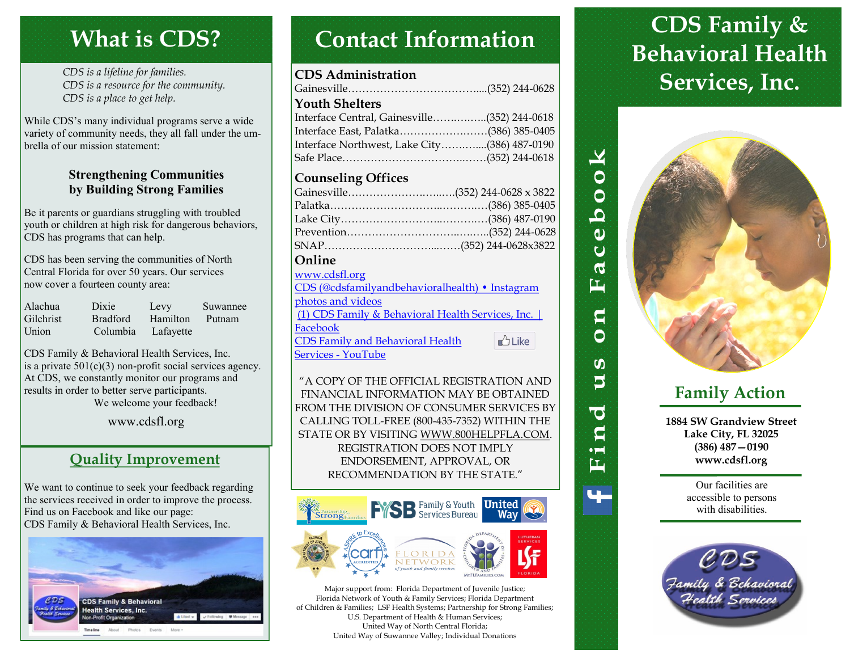# **What is CDS?**

*CDS is a lifeline for families. CDS is a resource for the community. CDS is a place to get help.*

While CDS's many individual programs serve a wide variety of community needs, they all fall under the umbrella of our mission statement:

#### **Strengthening Communities by Building Strong Families**

Be it parents or guardians struggling with troubled youth or children at high risk for dangerous behaviors, CDS has programs that can help.

CDS has been serving the communities of North Central Florida for over 50 years. Our services now cover a fourteen county area:

| Alachua          | Dixie           | Levy      | Suwannee |
|------------------|-----------------|-----------|----------|
| <b>Gilchrist</b> | <b>Bradford</b> | Hamilton  | Putnam   |
| Union            | Columbia        | Lafayette |          |

CDS Family & Behavioral Health Services, Inc. is a private  $501(c)(3)$  non-profit social services agency. At CDS, we constantly monitor our programs and results in order to better serve participants. We welcome your feedback!

www.cdsfl.org

### **Quality Improvement**

We want to continue to seek your feedback regarding the services received in order to improve the process. Find us on Facebook and like our page: CDS Family & Behavioral Health Services, Inc.



# **Contact Information**

#### **CDS Administration**

| <b>Youth Shelters</b>                        |  |
|----------------------------------------------|--|
| Interface Central, Gainesville(352) 244-0618 |  |
| Interface East, Palatka(386) 385-0405        |  |
| Interface Northwest, Lake City(386) 487-0190 |  |
|                                              |  |
|                                              |  |

### **Counseling Offices**

| Gainesville(352) 244-0628 x 3822 |  |
|----------------------------------|--|
|                                  |  |
|                                  |  |
|                                  |  |
|                                  |  |
| Online                           |  |

#### [www.cdsfl.org](http://www.cdsfl.org)

| $W W W W W W W W W W W W W W W W W W W W W W W W W W W W W W W W$ |          |
|-------------------------------------------------------------------|----------|
| CDS (@cdsfamilyandbehavioralhealth) • Instagram                   |          |
| photos and videos                                                 |          |
| (1) CDS Family & Behavioral Health Services, Inc.                 |          |
| Facebook                                                          |          |
| <b>CDS Family and Behavioral Health</b>                           | $b$ Like |
| <b>Services - YouTube</b>                                         |          |

"A COPY OF THE OFFICIAL REGISTRATION AND FINANCIAL INFORMATION MAY BE OBTAINED FROM THE DIVISION OF CONSUMER SERVICES BY CALLING TOLL-FREE (800-435-7352) WITHIN THE STATE OR BY VISITING WWW.800HELPFLA.COM. REGISTRATION DOES NOT IMPLY ENDORSEMENT, APPROVAL, OR RECOMMENDATION BY THE STATE."



Major support from: Florida Department of Juvenile Justice; Florida Network of Youth & Family Services; Florida Department of Children & Families; LSF Health Systems; Partnership for Strong Families; U.S. Department of Health & Human Services; United Way of North Central Florida; United Way of Suwannee Valley; Individual Donations

# **CDS Family & Behavioral Health Services, Inc.**



 $\blacktriangleright$ 

 $\overline{50}$ 

 $\dot{a}$ ဲပ <u>. Leg</u> ĖĖ

> $\mathbf{q}$ Ô

**SO**  $\mathbf{5}$ 

**O** g  $\bullet$   $\blacksquare$ 雪

### **Family Action**

**1884 SW Grandview Street Lake City, FL 32025 (386) 487—0190 www.cdsfl.org**

> Our facilities are accessible to persons with disabilities.